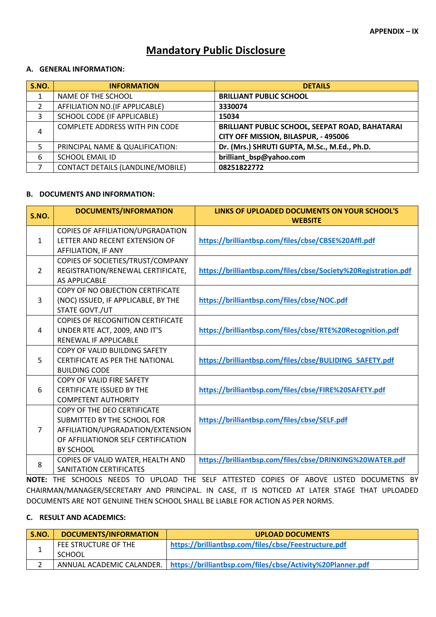# **Mandatory Public Disclosure**

# **A. GENERAL INFORMATION:**

| S.NO. | <b>INFORMATION</b>                       | <b>DETAILS</b>                                                                                 |
|-------|------------------------------------------|------------------------------------------------------------------------------------------------|
|       | NAME OF THE SCHOOL                       | <b>BRILLIANT PUBLIC SCHOOL</b>                                                                 |
|       | AFFILIATION NO.(IF APPLICABLE)           | 3330074                                                                                        |
| 3     | SCHOOL CODE (IF APPLICABLE)              | 15034                                                                                          |
| 4     | COMPLETE ADDRESS WITH PIN CODE           | <b>BRILLIANT PUBLIC SCHOOL, SEEPAT ROAD, BAHATARAI</b><br>CITY OFF MISSION, BILASPUR, - 495006 |
|       | PRINCIPAL NAME & QUALIFICATION:          | Dr. (Mrs.) SHRUTI GUPTA, M.Sc., M.Ed., Ph.D.                                                   |
| 6     | <b>SCHOOL EMAIL ID</b>                   | brilliant_bsp@yahoo.com                                                                        |
|       | <b>CONTACT DETAILS (LANDLINE/MOBILE)</b> | 08251822772                                                                                    |

#### **B. DOCUMENTS AND INFORMATION:**

| S.NO.          | <b>DOCUMENTS/INFORMATION</b>                                        | LINKS OF UPLOADED DOCUMENTS ON YOUR SCHOOL'S<br><b>WEBSITE</b> |
|----------------|---------------------------------------------------------------------|----------------------------------------------------------------|
| $\mathbf{1}$   | COPIES OF AFFILIATION/UPGRADATION<br>LETTER AND RECENT EXTENSION OF | https://brilliantbsp.com/files/cbse/CBSE%20Affl.pdf            |
|                | AFFILIATION, IF ANY                                                 |                                                                |
|                | COPIES OF SOCIETIES/TRUST/COMPANY                                   |                                                                |
| $\overline{2}$ | REGISTRATION/RENEWAL CERTIFICATE,<br>AS APPLICABLE                  | https://brilliantbsp.com/files/cbse/Society%20Registration.pdf |
|                | COPY OF NO OBJECTION CERTIFICATE                                    |                                                                |
| 3              | (NOC) ISSUED, IF APPLICABLE, BY THE                                 | https://brilliantbsp.com/files/cbse/NOC.pdf                    |
|                | STATE GOVT./UT                                                      |                                                                |
|                | <b>COPIES OF RECOGNITION CERTIFICATE</b>                            |                                                                |
| 4              | UNDER RTE ACT, 2009, AND IT'S                                       | https://brilliantbsp.com/files/cbse/RTE%20Recognition.pdf      |
|                | RENEWAL IF APPLICABLE                                               |                                                                |
|                | COPY OF VALID BUILDING SAFETY                                       |                                                                |
| 5              | <b>CERTIFICATE AS PER THE NATIONAL</b><br><b>BUILDING CODE</b>      | https://brilliantbsp.com/files/cbse/BULIDING SAFETY.pdf        |
|                | COPY OF VALID FIRE SAFETY                                           |                                                                |
| 6              | <b>CERTIFICATE ISSUED BY THE</b>                                    | https://brilliantbsp.com/files/cbse/FIRE%20SAFETY.pdf          |
|                | <b>COMPETENT AUTHORITY</b>                                          |                                                                |
|                | <b>COPY OF THE DEO CERTIFICATE</b>                                  |                                                                |
|                | SUBMITTED BY THE SCHOOL FOR                                         | https://brilliantbsp.com/files/cbse/SELF.pdf                   |
| $\overline{7}$ | AFFILIATION/UPGRADATION/EXTENSION                                   |                                                                |
|                | OF AFFILIATIONOR SELF CERTIFICATION                                 |                                                                |
|                | BY SCHOOL                                                           |                                                                |
| 8              | COPIES OF VALID WATER, HEALTH AND                                   | https://brilliantbsp.com/files/cbse/DRINKING%20WATER.pdf       |
|                | SANITATION CERTIFICATES                                             |                                                                |

**NOTE:** THE SCHOOLS NEEDS TO UPLOAD THE SELF ATTESTED COPIES OF ABOVE LISTED DOCUMETNS BY CHAIRMAN/MANAGER/SECRETARY AND PRINCIPAL. IN CASE, IT IS NOTICED AT LATER STAGE THAT UPLOADED DOCUMENTS ARE NOT GENUINE THEN SCHOOL SHALL BE LIABLE FOR ACTION AS PER NORMS.

# **C. RESULT AND ACADEMICS:**

| <b>S.NO.</b> | <b>DOCUMENTS/INFORMATION</b>          | <b>UPLOAD DOCUMENTS</b>                                                                |
|--------------|---------------------------------------|----------------------------------------------------------------------------------------|
|              | FEE STRUCTURE OF THE<br><b>SCHOOL</b> | https://brilliantbsp.com/files/cbse/Feestructure.pdf                                   |
|              |                                       |                                                                                        |
|              |                                       | ANNUAL ACADEMIC CALANDER.   https://brilliantbsp.com/files/cbse/Activity%20Planner.pdf |